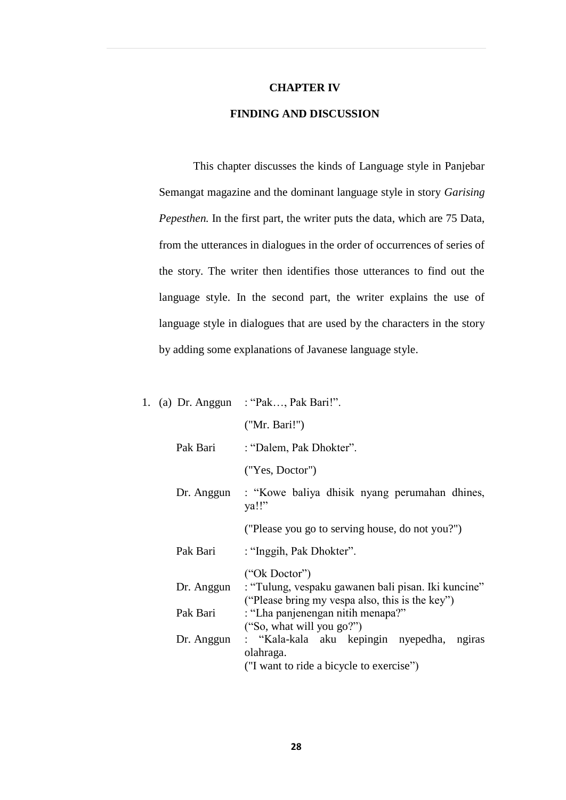## **CHAPTER IV**

## **FINDING AND DISCUSSION**

This chapter discusses the kinds of Language style in Panjebar Semangat magazine and the dominant language style in story *Garising Pepesthen.* In the first part, the writer puts the data, which are 75 Data, from the utterances in dialogues in the order of occurrences of series of the story. The writer then identifies those utterances to find out the language style. In the second part, the writer explains the use of language style in dialogues that are used by the characters in the story by adding some explanations of Javanese language style.

|            | 1. (a) Dr. Anggun : "Pak, Pak Bari!".                                                                                              |
|------------|------------------------------------------------------------------------------------------------------------------------------------|
|            | ("Mr. Bari!")                                                                                                                      |
| Pak Bari   | : "Dalem, Pak Dhokter".                                                                                                            |
|            | ("Yes, Doctor")                                                                                                                    |
|            | Dr. Anggun : "Kowe baliya dhisik nyang perumahan dhines,<br>ya!!"                                                                  |
|            | ("Please you go to serving house, do not you?")                                                                                    |
| Pak Bari   | : "Inggih, Pak Dhokter".                                                                                                           |
|            | ("Ok Doctor")<br>Dr. Anggun : "Tulung, vespaku gawanen bali pisan. Iki kuncine"<br>("Please bring my vespa also, this is the key") |
| Pak Bari   | : "Lha panjenengan nitih menapa?"<br>("So, what will you go?")                                                                     |
| Dr. Anggun | : "Kala-kala aku kepingin nyepedha,<br>ngiras<br>olahraga.<br>("I want to ride a bicycle to exercise")                             |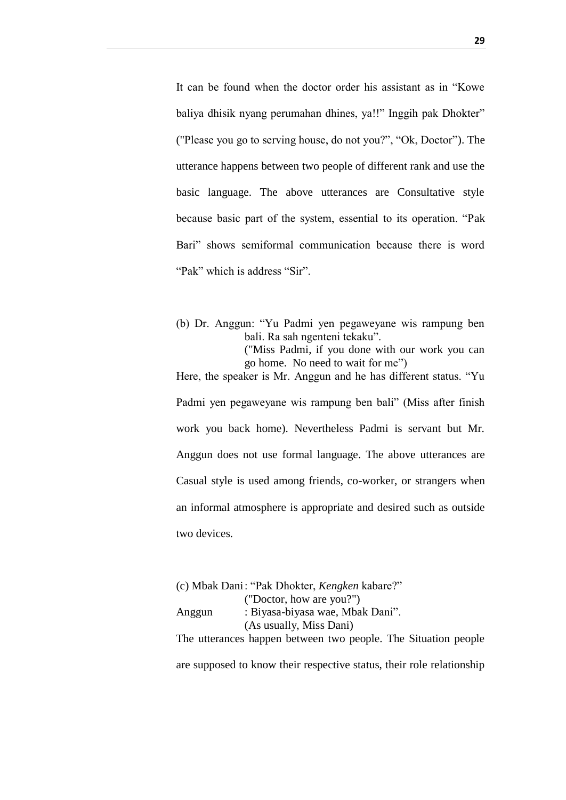It can be found when the doctor order his assistant as in "Kowe baliya dhisik nyang perumahan dhines, ya!!" Inggih pak Dhokter" ("Please you go to serving house, do not you?", "Ok, Doctor"). The utterance happens between two people of different rank and use the basic language. The above utterances are Consultative style because basic part of the system, essential to its operation. "Pak Bari" shows semiformal communication because there is word "Pak" which is address "Sir".

(b) Dr. Anggun: "Yu Padmi yen pegaweyane wis rampung ben bali. Ra sah ngenteni tekaku". ("Miss Padmi, if you done with our work you can go home. No need to wait for me")

Here, the speaker is Mr. Anggun and he has different status. "Yu Padmi yen pegaweyane wis rampung ben bali" (Miss after finish work you back home). Nevertheless Padmi is servant but Mr. Anggun does not use formal language. The above utterances are Casual style is used among friends, co-worker, or strangers when an informal atmosphere is appropriate and desired such as outside two devices.

(c) Mbak Dani: "Pak Dhokter, *Kengken* kabare?" ("Doctor, how are you?") Anggun : Biyasa-biyasa wae, Mbak Dani". (As usually, Miss Dani) The utterances happen between two people. The Situation people are supposed to know their respective status, their role relationship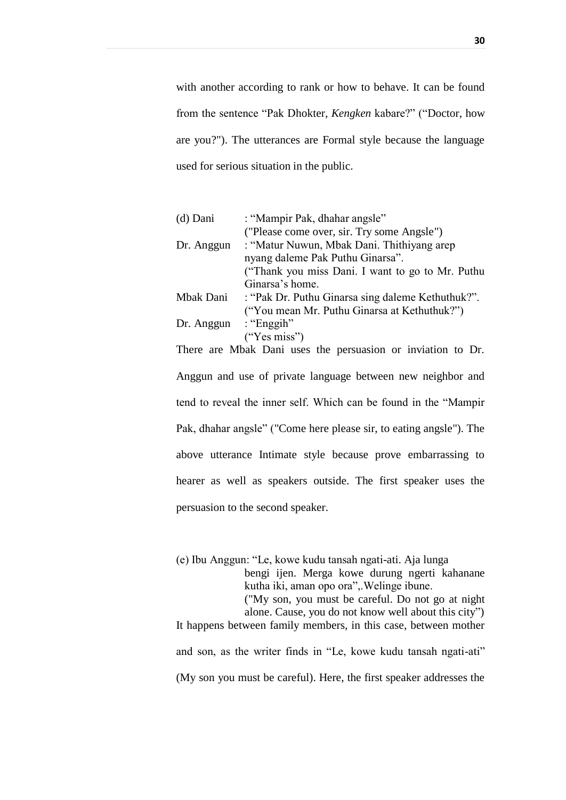with another according to rank or how to behave. It can be found from the sentence "Pak Dhokter, *Kengken* kabare?" ("Doctor, how are you?"). The utterances are Formal style because the language used for serious situation in the public.

| $(d)$ Dani | : "Mampir Pak, dhahar angsle"                     |
|------------|---------------------------------------------------|
|            | ("Please come over, sir. Try some Angsle")        |
| Dr. Anggun | : "Matur Nuwun, Mbak Dani. Thithiyang arep        |
|            | nyang daleme Pak Puthu Ginarsa".                  |
|            | ("Thank you miss Dani. I want to go to Mr. Puthu  |
|            | Ginarsa's home.                                   |
| Mbak Dani  | : "Pak Dr. Puthu Ginarsa sing daleme Kethuthuk?". |
|            | ("You mean Mr. Puthu Ginarsa at Kethuthuk?")      |
| Dr. Anggun | : "Enggih"                                        |
|            | ("Yes miss")                                      |
|            |                                                   |

There are Mbak Dani uses the persuasion or inviation to Dr. Anggun and use of private language between new neighbor and tend to reveal the inner self. Which can be found in the "Mampir Pak, dhahar angsle" ("Come here please sir, to eating angsle"). The above utterance Intimate style because prove embarrassing to hearer as well as speakers outside. The first speaker uses the persuasion to the second speaker.

(e) Ibu Anggun: "Le, kowe kudu tansah ngati-ati. Aja lunga

bengi ijen. Merga kowe durung ngerti kahanane kutha iki, aman opo ora",.Welinge ibune.

("My son, you must be careful. Do not go at night

alone. Cause, you do not know well about this city") It happens between family members, in this case, between mother

and son, as the writer finds in "Le, kowe kudu tansah ngati-ati"

(My son you must be careful). Here, the first speaker addresses the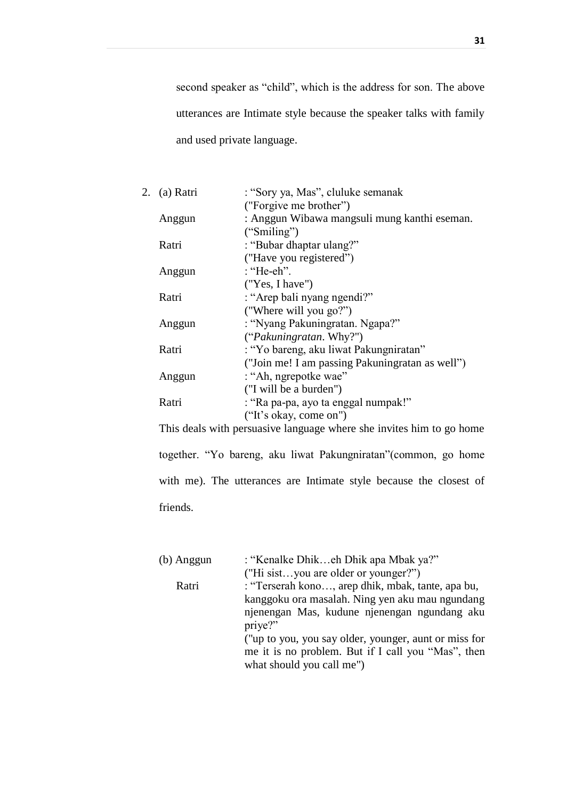second speaker as "child", which is the address for son. The above utterances are Intimate style because the speaker talks with family and used private language.

| 2. | (a) Ratri | : "Sory ya, Mas", cluluke semanak               |
|----|-----------|-------------------------------------------------|
|    |           | ("Forgive me brother")                          |
|    | Anggun    | : Anggun Wibawa mangsuli mung kanthi eseman.    |
|    |           | ("Similarly")                                   |
|    | Ratri     | : "Bubar dhaptar ulang?"                        |
|    |           | ("Have you registered")                         |
|    | Anggun    | : "He-eh".                                      |
|    |           | ("Yes, I have")                                 |
|    | Ratri     | : "Arep bali nyang ngendi?"                     |
|    |           | ("Where will you go?")                          |
|    | Anggun    | : "Nyang Pakuningratan. Ngapa?"                 |
|    |           | ("Pakuningratan. Why?")                         |
|    | Ratri     | : "Yo bareng, aku liwat Pakungniratan"          |
|    |           | ("Join me! I am passing Pakuningratan as well") |
|    | Anggun    | : "Ah, ngrepotke wae"                           |
|    |           | ("I will be a burden")                          |
|    | Ratri     | : "Ra pa-pa, ayo ta enggal numpak!"             |
|    |           | ("It's okay, come on")                          |

This deals with persuasive language where she invites him to go home together. "Yo bareng, aku liwat Pakungniratan"(common, go home with me). The utterances are Intimate style because the closest of friends.

| (b) Anggun | : "Kenalke Dhikeh Dhik apa Mbak ya?"                  |
|------------|-------------------------------------------------------|
|            | ("Hi sistyou are older or younger?")                  |
| Ratri      | : "Terserah kono, arep dhik, mbak, tante, apa bu,     |
|            | kanggoku ora masalah. Ning yen aku mau ngundang       |
|            | njenengan Mas, kudune njenengan ngundang aku          |
|            | priye?"                                               |
|            | ("up to you, you say older, younger, aunt or miss for |
|            | me it is no problem. But if I call you "Mas", then    |
|            | what should you call me")                             |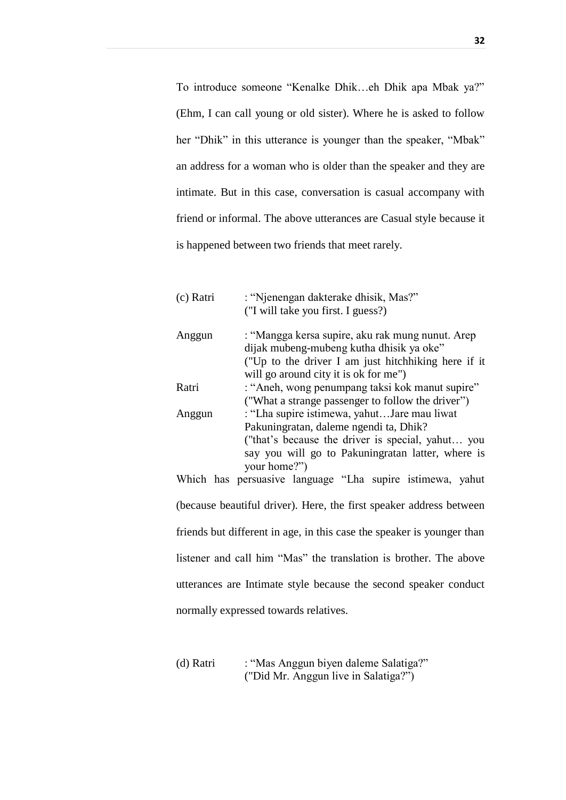To introduce someone "Kenalke Dhik…eh Dhik apa Mbak ya?" (Ehm, I can call young or old sister). Where he is asked to follow her "Dhik" in this utterance is younger than the speaker, "Mbak" an address for a woman who is older than the speaker and they are intimate. But in this case, conversation is casual accompany with friend or informal. The above utterances are Casual style because it is happened between two friends that meet rarely.

| (c) Ratri | : "Njenengan dakterake dhisik, Mas?"                               |
|-----------|--------------------------------------------------------------------|
|           | ("I will take you first. I guess?)                                 |
| Anggun    | : "Mangga kersa supire, aku rak mung nunut. Arep                   |
|           | dijak mubeng-mubeng kutha dhisik ya oke"                           |
|           | ("Up to the driver I am just hitch hiking here if it               |
|           | will go around city it is ok for me")                              |
| Ratri     | : "Aneh, wong penumpang taksi kok manut supire"                    |
|           | ("What a strange passenger to follow the driver")                  |
| Anggun    | : "Lha supire istimewa, yahutJare mau liwat                        |
|           | Pakuningratan, daleme ngendi ta, Dhik?                             |
|           | ("that's because the driver is special, yahut you                  |
|           | say you will go to Pakuningratan latter, where is                  |
|           | your home?")                                                       |
|           | Which has persuasive language "Lha supire istimewa, yahut          |
|           | (because beautiful driver). Here the first speaker address between |

(because beautiful driver). Here, the first speaker address between friends but different in age, in this case the speaker is younger than listener and call him "Mas" the translation is brother. The above utterances are Intimate style because the second speaker conduct normally expressed towards relatives.

(d) Ratri : "Mas Anggun biyen daleme Salatiga?" ("Did Mr. Anggun live in Salatiga?")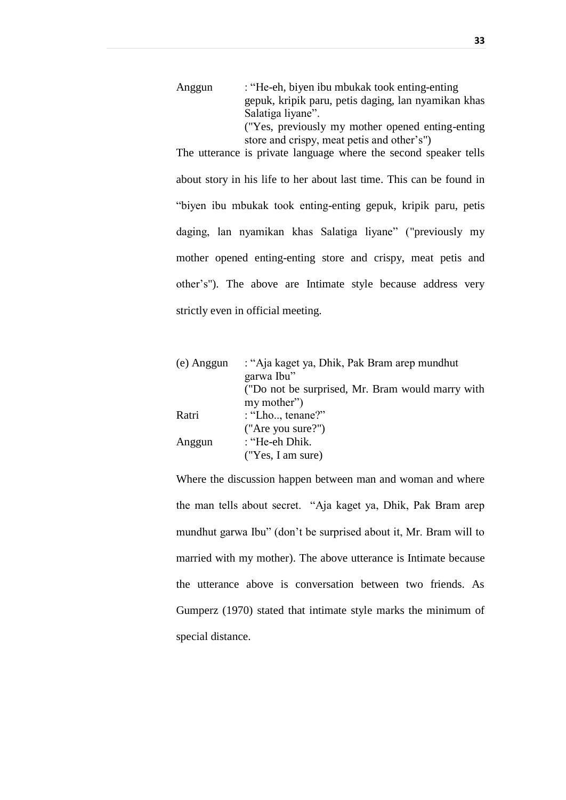| Anggun | : "He-eh, biyen ibu mbukak took enting-enting       |
|--------|-----------------------------------------------------|
|        | gepuk, kripik paru, petis daging, lan nyamikan khas |
|        | Salatiga liyane".                                   |
|        | ("Yes, previously my mother opened enting-enting    |
|        | store and crispy, meat petis and other's")          |

The utterance is private language where the second speaker tells about story in his life to her about last time. This can be found in "biyen ibu mbukak took enting-enting gepuk, kripik paru, petis daging, lan nyamikan khas Salatiga liyane" ("previously my mother opened enting-enting store and crispy, meat petis and other's"). The above are Intimate style because address very strictly even in official meeting.

| (e) Anggun | : "Aja kaget ya, Dhik, Pak Bram arep mundhut     |
|------------|--------------------------------------------------|
|            | garwa Ibu"                                       |
|            | ("Do not be surprised, Mr. Bram would marry with |
|            | my mother")                                      |
| Ratri      | : "Lho, tenane?"                                 |
|            | ("Are you sure?")                                |
| Anggun     | : "He-eh Dhik.                                   |
|            | ("Yes, I am sure)                                |

Where the discussion happen between man and woman and where the man tells about secret. "Aja kaget ya, Dhik, Pak Bram arep mundhut garwa Ibu" (don't be surprised about it, Mr. Bram will to married with my mother). The above utterance is Intimate because the utterance above is conversation between two friends. As Gumperz (1970) stated that intimate style marks the minimum of special distance.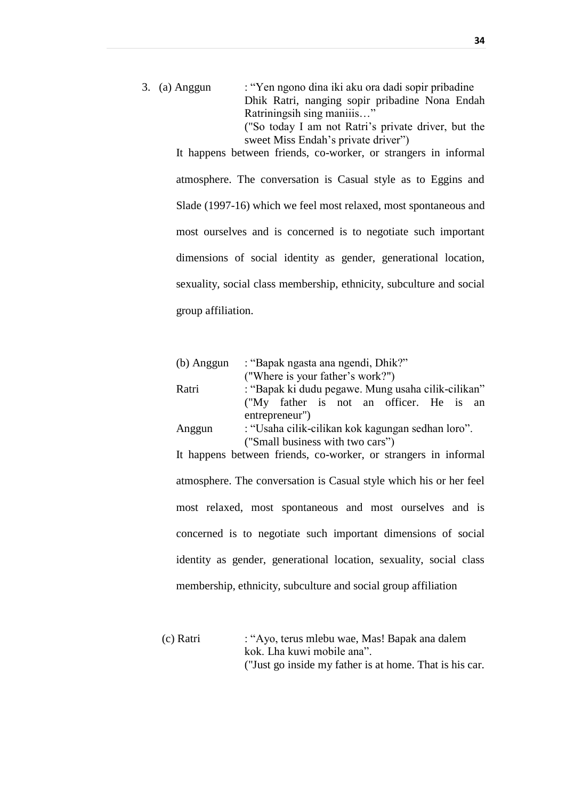3. (a) Anggun : "Yen ngono dina iki aku ora dadi sopir pribadine Dhik Ratri, nanging sopir pribadine Nona Endah Ratriningsih sing maniiis…" ("So today I am not Ratri's private driver, but the sweet Miss Endah's private driver")

It happens between friends, co-worker, or strangers in informal atmosphere. The conversation is Casual style as to Eggins and Slade (1997-16) which we feel most relaxed, most spontaneous and most ourselves and is concerned is to negotiate such important dimensions of social identity as gender, generational location, sexuality, social class membership, ethnicity, subculture and social group affiliation.

| $(b)$ Anggun | : "Bapak ngasta ana ngendi, Dhik?"                                 |  |  |
|--------------|--------------------------------------------------------------------|--|--|
|              | ("Where is your father's work?")                                   |  |  |
| Ratri        | : "Bapak ki dudu pegawe. Mung usaha cilik-cilikan"                 |  |  |
|              | ("My father is not an officer. He is an                            |  |  |
|              | entrepreneur")                                                     |  |  |
| Anggun       | : "Usaha cilik-cilikan kok kagungan sedhan loro".                  |  |  |
|              | ("Small business with two cars")                                   |  |  |
|              | It happens between friends, co-worker, or strangers in informal    |  |  |
|              |                                                                    |  |  |
|              | atmosphere. The conversation is Casual style which his or her feel |  |  |
|              | most relaxed, most spontaneous and most ourselves and is           |  |  |
|              | concerned is to negotiate such important dimensions of social      |  |  |
|              | identity as gender, generational location, sexuality, social class |  |  |
|              | membership, ethnicity, subculture and social group affiliation     |  |  |

(c) Ratri : "Ayo, terus mlebu wae, Mas! Bapak ana dalem kok. Lha kuwi mobile ana". ("Just go inside my father is at home. That is his car.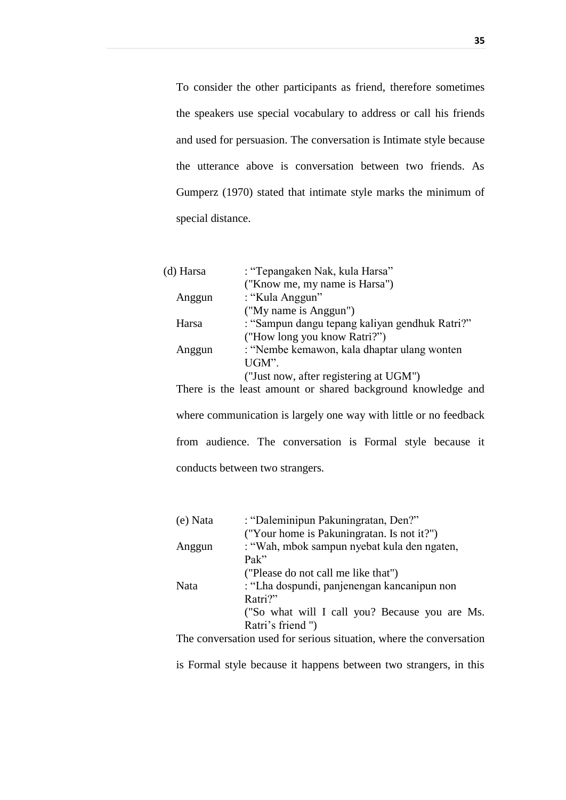To consider the other participants as friend, therefore sometimes the speakers use special vocabulary to address or call his friends and used for persuasion. The conversation is Intimate style because the utterance above is conversation between two friends. As Gumperz (1970) stated that intimate style marks the minimum of special distance.

| (d) Harsa | : "Tepangaken Nak, kula Harsa"                 |
|-----------|------------------------------------------------|
|           | ("Know me, my name is Harsa")                  |
| Anggun    | : "Kula Anggun"                                |
|           | ("My name is Anggun")                          |
| Harsa     | : "Sampun dangu tepang kaliyan gendhuk Ratri?" |
|           | ("How long you know Ratri?")                   |
| Anggun    | : "Nembe kemawon, kala dhaptar ulang wonten    |
|           | UGM".                                          |
|           | ("Just now, after registering at UGM")         |

There is the least amount or shared background knowledge and where communication is largely one way with little or no feedback from audience. The conversation is Formal style because it conducts between two strangers.

| (e) Nata | : "Daleminipun Pakuningratan, Den?"            |
|----------|------------------------------------------------|
|          | ("Your home is Pakuningratan. Is not it?")     |
| Anggun   | : "Wah, mbok sampun nyebat kula den ngaten,    |
|          | Pak''                                          |
|          | ("Please do not call me like that")            |
| Nata     | : "Lha dospundi, panjenengan kancanipun non    |
|          | Ratri?"                                        |
|          | ("So what will I call you? Because you are Ms. |
|          | Ratri's friend")                               |

The conversation used for serious situation, where the conversation

is Formal style because it happens between two strangers, in this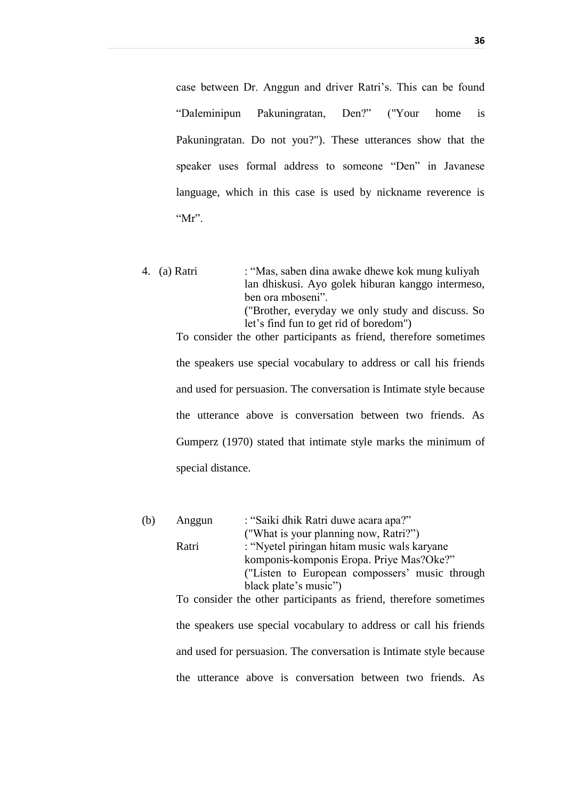case between Dr. Anggun and driver Ratri's. This can be found "Daleminipun Pakuningratan, Den?" ("Your home is Pakuningratan. Do not you?"). These utterances show that the speaker uses formal address to someone "Den" in Javanese language, which in this case is used by nickname reverence is " $Mr$ ".

4. (a) Ratri : "Mas, saben dina awake dhewe kok mung kuliyah lan dhiskusi. Ayo golek hiburan kanggo intermeso, ben ora mboseni". ("Brother, everyday we only study and discuss. So let's find fun to get rid of boredom") To consider the other participants as friend, therefore sometimes the speakers use special vocabulary to address or call his friends and used for persuasion. The conversation is Intimate style because the utterance above is conversation between two friends. As Gumperz (1970) stated that intimate style marks the minimum of

special distance.

| (b) | Anggun | : "Saiki dhik Ratri duwe acara apa?"                                |
|-----|--------|---------------------------------------------------------------------|
|     |        | ("What is your planning now, Ratri?")                               |
|     | Ratri  | : "Nyetel piringan hitam music wals karyane                         |
|     |        | komponis-komponis Eropa. Priye Mas?Oke?"                            |
|     |        | ("Listen to European compossers' music through                      |
|     |        | black plate's music")                                               |
|     |        | To consider the other participants as friend, therefore sometimes   |
|     |        | the speakers use special vocabulary to address or call his friends  |
|     |        | and used for persuasion. The conversation is Intimate style because |
|     |        | the utterance above is conversation between two friends. As         |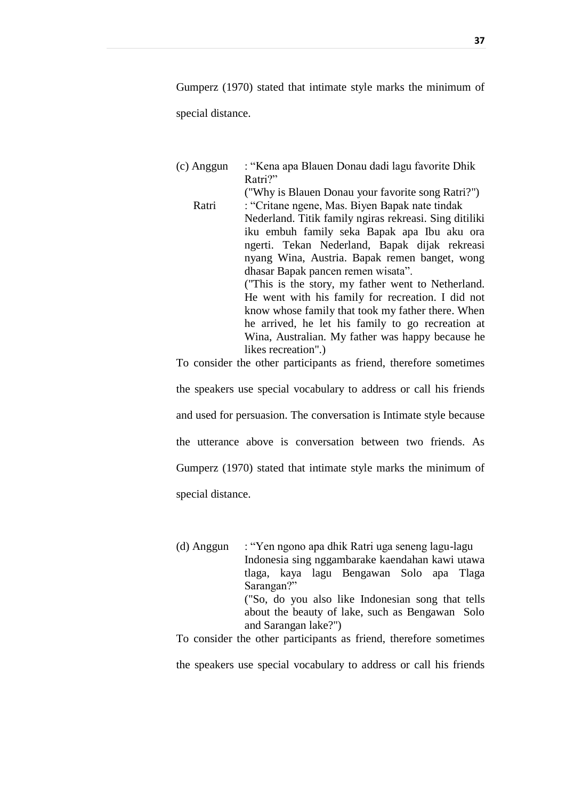Gumperz (1970) stated that intimate style marks the minimum of special distance.

(c) Anggun : "Kena apa Blauen Donau dadi lagu favorite Dhik Ratri?" ("Why is Blauen Donau your favorite song Ratri?") Ratri : "Critane ngene, Mas. Biyen Bapak nate tindak Nederland. Titik family ngiras rekreasi. Sing ditiliki iku embuh family seka Bapak apa Ibu aku ora ngerti. Tekan Nederland, Bapak dijak rekreasi nyang Wina, Austria. Bapak remen banget, wong dhasar Bapak pancen remen wisata". ("This is the story, my father went to Netherland. He went with his family for recreation. I did not know whose family that took my father there. When he arrived, he let his family to go recreation at Wina, Australian. My father was happy because he likes recreation".)

To consider the other participants as friend, therefore sometimes

the speakers use special vocabulary to address or call his friends and used for persuasion. The conversation is Intimate style because the utterance above is conversation between two friends. As Gumperz (1970) stated that intimate style marks the minimum of special distance.

(d) Anggun : "Yen ngono apa dhik Ratri uga seneng lagu-lagu Indonesia sing nggambarake kaendahan kawi utawa tlaga, kaya lagu Bengawan Solo apa Tlaga Sarangan?" ("So, do you also like Indonesian song that tells about the beauty of lake, such as Bengawan Solo and Sarangan lake?")

To consider the other participants as friend, therefore sometimes

the speakers use special vocabulary to address or call his friends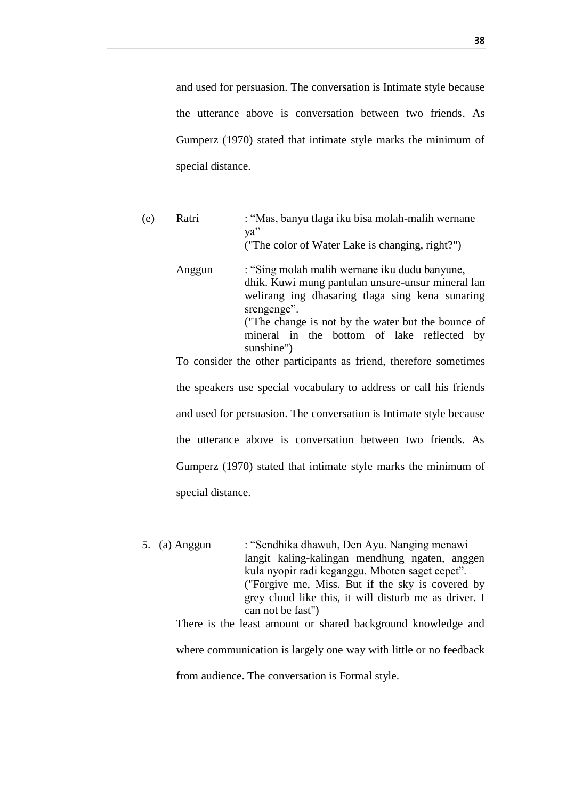and used for persuasion. The conversation is Intimate style because the utterance above is conversation between two friends. As Gumperz (1970) stated that intimate style marks the minimum of special distance.

| (e) | Ratri  | : "Mas, banyu tlaga iku bisa molah-malih wernane<br>ya"<br>("The color of Water Lake is changing, right?")                                                                                                                                                                             |
|-----|--------|----------------------------------------------------------------------------------------------------------------------------------------------------------------------------------------------------------------------------------------------------------------------------------------|
|     | Anggun | : "Sing molah malih wernane iku dudu banyune,<br>dhik. Kuwi mung pantulan unsure-unsur mineral lan<br>welirang ing dhasaring tlaga sing kena sunaring<br>srengenge".<br>("The change is not by the water but the bounce of<br>mineral in the bottom of lake reflected by<br>sunshine") |
|     |        | To consider the other participants as friend, therefore sometimes                                                                                                                                                                                                                      |
|     |        | the speakers use special vocabulary to address or call his friends                                                                                                                                                                                                                     |
|     |        | and used for persuasion. The conversation is Intimate style because                                                                                                                                                                                                                    |
|     |        | the utterance above is conversation between two friends. As                                                                                                                                                                                                                            |
|     |        | Gumperz (1970) stated that intimate style marks the minimum of                                                                                                                                                                                                                         |

special distance.

5. (a) Anggun : "Sendhika dhawuh, Den Ayu. Nanging menawi langit kaling-kalingan mendhung ngaten, anggen kula nyopir radi keganggu. Mboten saget cepet". ("Forgive me, Miss. But if the sky is covered by grey cloud like this, it will disturb me as driver. I can not be fast")

There is the least amount or shared background knowledge and

where communication is largely one way with little or no feedback

from audience. The conversation is Formal style.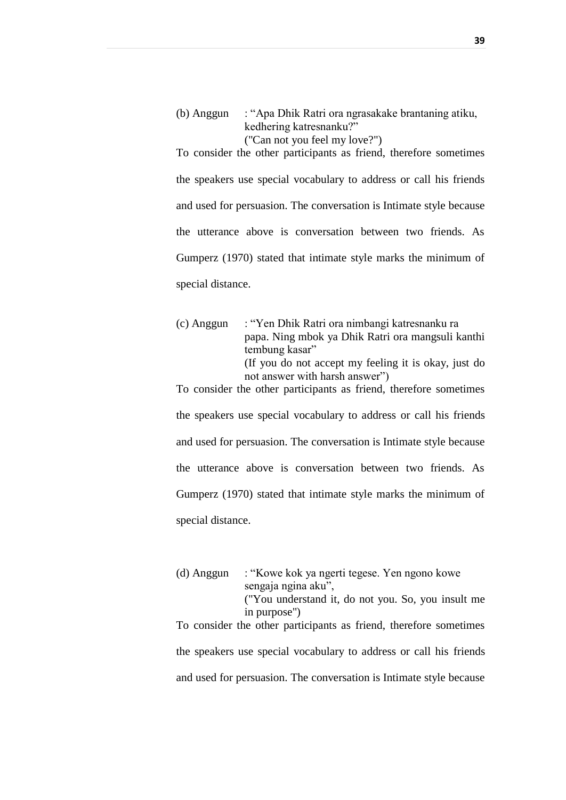(b) Anggun : "Apa Dhik Ratri ora ngrasakake brantaning atiku, kedhering katresnanku?" ("Can not you feel my love?")

To consider the other participants as friend, therefore sometimes the speakers use special vocabulary to address or call his friends and used for persuasion. The conversation is Intimate style because the utterance above is conversation between two friends. As Gumperz (1970) stated that intimate style marks the minimum of special distance.

(c) Anggun : "Yen Dhik Ratri ora nimbangi katresnanku ra papa. Ning mbok ya Dhik Ratri ora mangsuli kanthi tembung kasar" (If you do not accept my feeling it is okay, just do not answer with harsh answer")

To consider the other participants as friend, therefore sometimes the speakers use special vocabulary to address or call his friends and used for persuasion. The conversation is Intimate style because the utterance above is conversation between two friends. As Gumperz (1970) stated that intimate style marks the minimum of special distance.

(d) Anggun : "Kowe kok ya ngerti tegese. Yen ngono kowe sengaja ngina aku", ("You understand it, do not you. So, you insult me in purpose") To consider the other participants as friend, therefore sometimes the speakers use special vocabulary to address or call his friends

and used for persuasion. The conversation is Intimate style because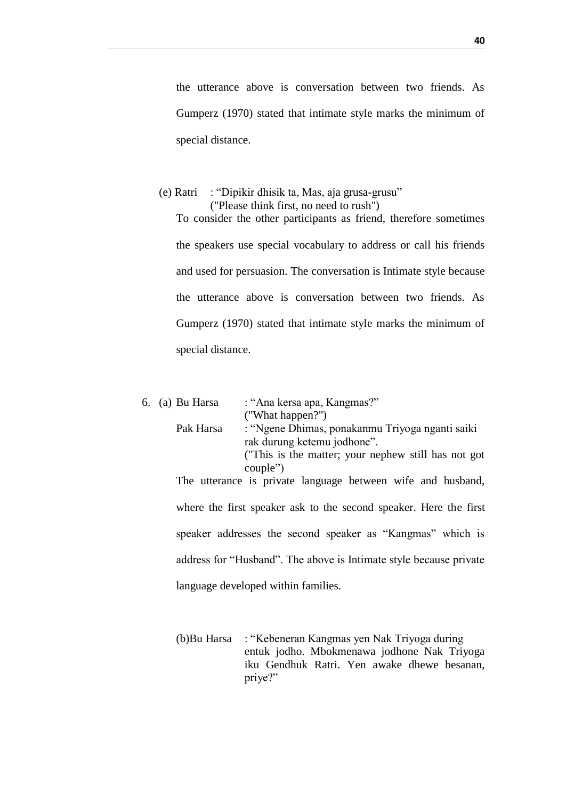the utterance above is conversation between two friends. As Gumperz (1970) stated that intimate style marks the minimum of special distance.

## (e) Ratri : "Dipikir dhisik ta, Mas, aja grusa-grusu" ("Please think first, no need to rush") To consider the other participants as friend, therefore sometimes the speakers use special vocabulary to address or call his friends and used for persuasion. The conversation is Intimate style because the utterance above is conversation between two friends. As Gumperz (1970) stated that intimate style marks the minimum of special distance.

|  | 6. (a) Bu Harsa | : "Ana kersa apa, Kangmas?"                                        |
|--|-----------------|--------------------------------------------------------------------|
|  |                 | ("What happen?")                                                   |
|  | Pak Harsa       | : "Ngene Dhimas, ponakanmu Triyoga nganti saiki                    |
|  |                 | rak durung ketemu jodhone".                                        |
|  |                 | ("This is the matter; your nephew still has not got                |
|  |                 | couple")                                                           |
|  |                 | The utterance is private language between wife and husband,        |
|  |                 |                                                                    |
|  |                 | where the first speaker ask to the second speaker. Here the first  |
|  |                 |                                                                    |
|  |                 | speaker addresses the second speaker as "Kangmas" which is         |
|  |                 |                                                                    |
|  |                 | address for "Husband". The above is Intimate style because private |
|  |                 |                                                                    |
|  |                 | language developed within families.                                |

(b)Bu Harsa : "Kebeneran Kangmas yen Nak Triyoga during entuk jodho. Mbokmenawa jodhone Nak Triyoga iku Gendhuk Ratri. Yen awake dhewe besanan, priye?"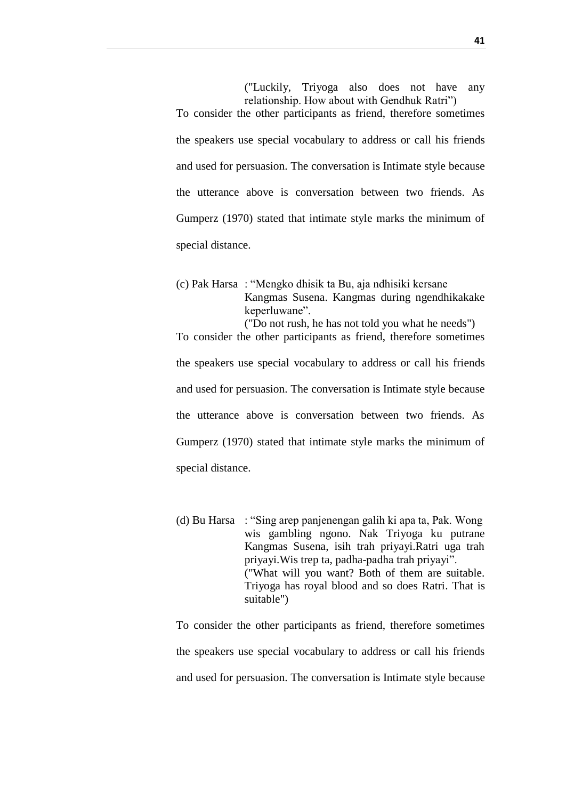("Luckily, Triyoga also does not have any relationship. How about with Gendhuk Ratri") To consider the other participants as friend, therefore sometimes the speakers use special vocabulary to address or call his friends and used for persuasion. The conversation is Intimate style because the utterance above is conversation between two friends. As Gumperz (1970) stated that intimate style marks the minimum of special distance.

(c) Pak Harsa : "Mengko dhisik ta Bu, aja ndhisiki kersane Kangmas Susena. Kangmas during ngendhikakake keperluwane". ("Do not rush, he has not told you what he needs")

To consider the other participants as friend, therefore sometimes the speakers use special vocabulary to address or call his friends and used for persuasion. The conversation is Intimate style because the utterance above is conversation between two friends. As Gumperz (1970) stated that intimate style marks the minimum of special distance.

(d) Bu Harsa : "Sing arep panjenengan galih ki apa ta, Pak. Wong wis gambling ngono. Nak Triyoga ku putrane Kangmas Susena, isih trah priyayi.Ratri uga trah priyayi.Wis trep ta, padha-padha trah priyayi". ("What will you want? Both of them are suitable. Triyoga has royal blood and so does Ratri. That is suitable")

To consider the other participants as friend, therefore sometimes the speakers use special vocabulary to address or call his friends and used for persuasion. The conversation is Intimate style because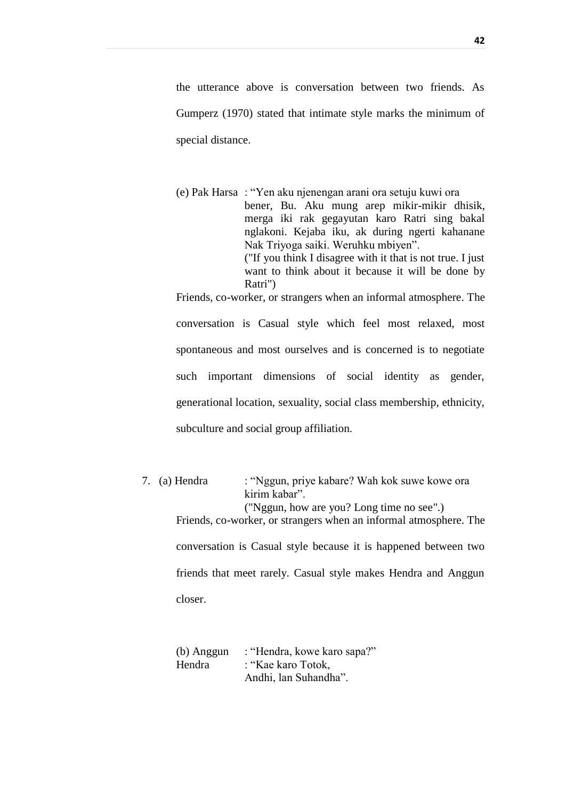the utterance above is conversation between two friends. As Gumperz (1970) stated that intimate style marks the minimum of special distance.

(e) Pak Harsa : "Yen aku njenengan arani ora setuju kuwi ora bener, Bu. Aku mung arep mikir-mikir dhisik, merga iki rak gegayutan karo Ratri sing bakal nglakoni. Kejaba iku, ak during ngerti kahanane Nak Triyoga saiki. Weruhku mbiyen". ("If you think I disagree with it that is not true. I just want to think about it because it will be done by Ratri") Friends, co-worker, or strangers when an informal atmosphere. The

conversation is Casual style which feel most relaxed, most spontaneous and most ourselves and is concerned is to negotiate such important dimensions of social identity as gender, generational location, sexuality, social class membership, ethnicity, subculture and social group affiliation.

7. (a) Hendra : "Nggun, priye kabare? Wah kok suwe kowe ora kirim kabar". ("Nggun, how are you? Long time no see".) Friends, co-worker, or strangers when an informal atmosphere. The conversation is Casual style because it is happened between two friends that meet rarely. Casual style makes Hendra and Anggun closer.

| (b) Anggun | : "Hendra, kowe karo sapa?" |
|------------|-----------------------------|
| Hendra     | : "Kae karo Totok,          |
|            | Andhi, lan Suhandha".       |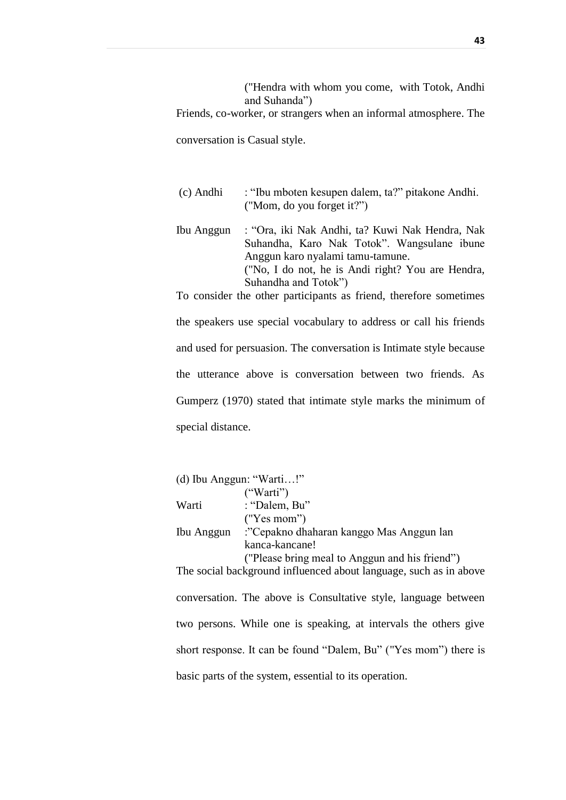("Hendra with whom you come, with Totok, Andhi and Suhanda")

Friends, co-worker, or strangers when an informal atmosphere. The

conversation is Casual style.

- (c) Andhi : "Ibu mboten kesupen dalem, ta?" pitakone Andhi. ("Mom, do you forget it?")
- Ibu Anggun : "Ora, iki Nak Andhi, ta? Kuwi Nak Hendra, Nak Suhandha, Karo Nak Totok". Wangsulane ibune Anggun karo nyalami tamu-tamune. ("No, I do not, he is Andi right? You are Hendra, Suhandha and Totok")

To consider the other participants as friend, therefore sometimes the speakers use special vocabulary to address or call his friends and used for persuasion. The conversation is Intimate style because the utterance above is conversation between two friends. As Gumperz (1970) stated that intimate style marks the minimum of special distance.

|            | (d) Ibu Anggun: "Warti!"                                          |
|------------|-------------------------------------------------------------------|
|            | ("Warti")                                                         |
| Warti      | : "Dalem, Bu"                                                     |
|            | ("Yes mom")                                                       |
| Ibu Anggun | :"Cepakno dhaharan kanggo Mas Anggun lan                          |
|            | kanca-kancane!                                                    |
|            | ("Please bring meal to Anggun and his friend")                    |
|            | The social background influenced about language, such as in above |

conversation. The above is Consultative style, language between two persons. While one is speaking, at intervals the others give short response. It can be found "Dalem, Bu" ("Yes mom") there is basic parts of the system, essential to its operation.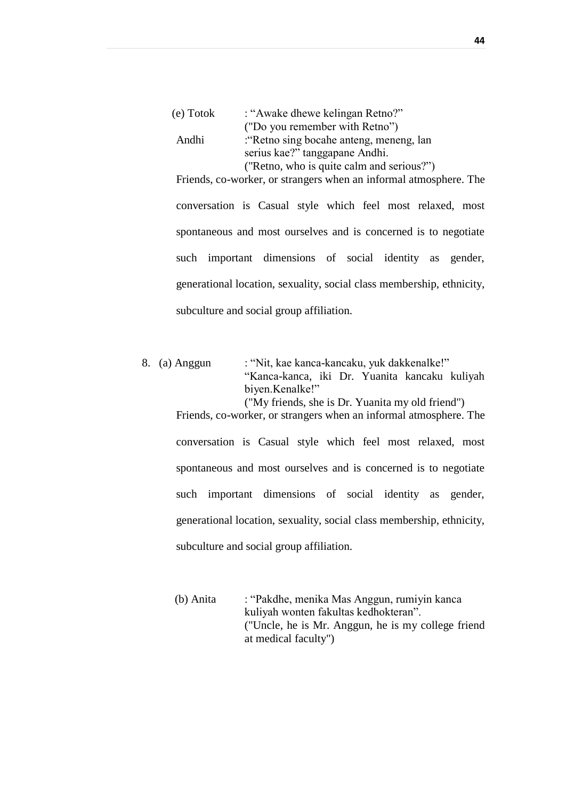| : "Awake dhewe kelingan Retno?"           |
|-------------------------------------------|
| ("Do you remember with Retno")            |
| : Retno sing bocahe anteng, meneng, lan   |
| serius kae?" tanggapane Andhi.            |
| ("Retno, who is quite calm and serious?") |
|                                           |

conversation is Casual style which feel most relaxed, most spontaneous and most ourselves and is concerned is to negotiate such important dimensions of social identity as gender, generational location, sexuality, social class membership, ethnicity, subculture and social group affiliation.

Friends, co-worker, or strangers when an informal atmosphere. The

8. (a) Anggun : "Nit, kae kanca-kancaku, yuk dakkenalke!" "Kanca-kanca, iki Dr. Yuanita kancaku kuliyah biyen.Kenalke!" ("My friends, she is Dr. Yuanita my old friend") Friends, co-worker, or strangers when an informal atmosphere. The conversation is Casual style which feel most relaxed, most spontaneous and most ourselves and is concerned is to negotiate such important dimensions of social identity as gender,

generational location, sexuality, social class membership, ethnicity,

subculture and social group affiliation.

(b) Anita : "Pakdhe, menika Mas Anggun, rumiyin kanca kuliyah wonten fakultas kedhokteran". ("Uncle, he is Mr. Anggun, he is my college friend at medical faculty")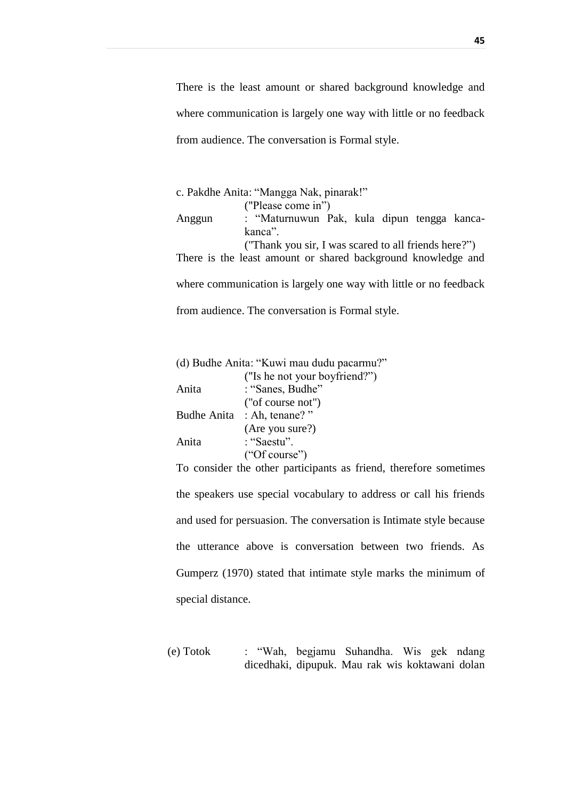There is the least amount or shared background knowledge and where communication is largely one way with little or no feedback from audience. The conversation is Formal style.

|                                                  | c. Pakdhe Anita: "Mangga Nak, pinarak!"                           |  |  |
|--------------------------------------------------|-------------------------------------------------------------------|--|--|
|                                                  | ("Please come in")                                                |  |  |
| Anggun                                           | : "Maturnuwun Pak, kula dipun tengga kanca-                       |  |  |
|                                                  | kanca <sup>"</sup>                                                |  |  |
|                                                  | ("Thank you sir, I was scared to all friends here?")              |  |  |
|                                                  | There is the least amount or shared background knowledge and      |  |  |
|                                                  |                                                                   |  |  |
|                                                  | where communication is largely one way with little or no feedback |  |  |
| from audience. The conversation is Formal style. |                                                                   |  |  |

|                    | (d) Budhe Anita: "Kuwi mau dudu pacarmu?"                                             |
|--------------------|---------------------------------------------------------------------------------------|
|                    | ("Is he not your boyfriend?")                                                         |
| Anita              | : "Sanes, Budhe"                                                                      |
|                    | ("of course not")                                                                     |
| <b>Budhe Anita</b> | : Ah, tenane?"                                                                        |
|                    | (Are you sure?)                                                                       |
| Anita              | : "Saestu".                                                                           |
|                    | ("Of course")                                                                         |
|                    | $\mathbf{H}$ and the set of $\mathbf{H}$ and $\mathbf{H}$ are the set of $\mathbf{H}$ |

To consider the other participants as friend, therefore sometimes the speakers use special vocabulary to address or call his friends and used for persuasion. The conversation is Intimate style because the utterance above is conversation between two friends. As Gumperz (1970) stated that intimate style marks the minimum of special distance.

(e) Totok : "Wah, begjamu Suhandha. Wis gek ndang dicedhaki, dipupuk. Mau rak wis koktawani dolan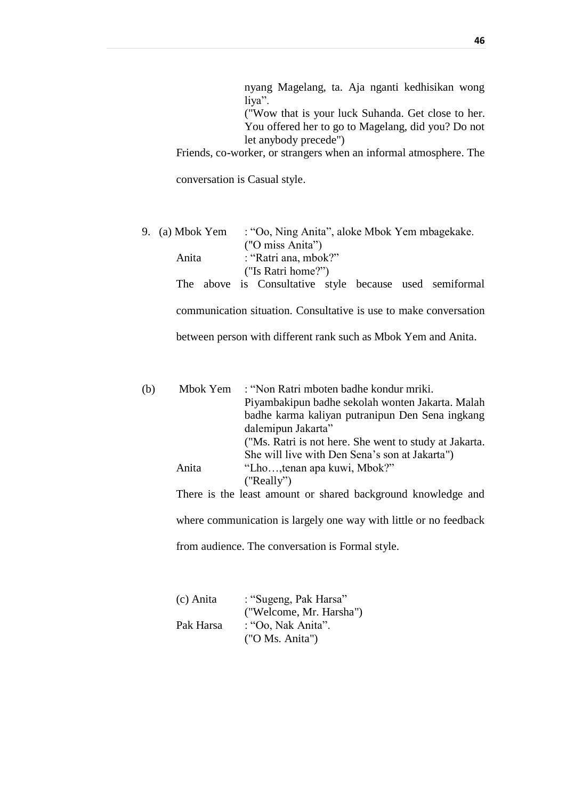| nyang Magelang, ta. Aja nganti kedhisikan wong                    |  |
|-------------------------------------------------------------------|--|
| liya".                                                            |  |
| ("Wow that is your luck Suhanda. Get close to her.                |  |
| You offered her to go to Magelang, did you? Do not                |  |
| let anybody precede")                                             |  |
| Friends, co-worker, or strangers when an informal atmosphere. The |  |

conversation is Casual style.

| 9. (a) Mbok Yem | : "Oo, Ning Anita", aloke Mbok Yem mbagekake.           |  |  |  |  |
|-----------------|---------------------------------------------------------|--|--|--|--|
|                 | ("O miss Anita")                                        |  |  |  |  |
| Anita           | : "Ratri ana, mbok?"                                    |  |  |  |  |
|                 | ("Is Ratri home?")                                      |  |  |  |  |
|                 | The above is Consultative style because used semiformal |  |  |  |  |
|                 |                                                         |  |  |  |  |

communication situation. Consultative is use to make conversation

between person with different rank such as Mbok Yem and Anita.

| (b) | Mbok Yem | : "Non Ratri mboten badhe kondur mriki.                                                                |
|-----|----------|--------------------------------------------------------------------------------------------------------|
|     |          | Piyambakipun badhe sekolah wonten Jakarta. Malah                                                       |
|     |          | badhe karma kaliyan putranipun Den Sena ingkang                                                        |
|     |          | dalemipun Jakarta"                                                                                     |
|     |          | ("Ms. Ratri is not here. She went to study at Jakarta.                                                 |
|     |          | She will live with Den Sena's son at Jakarta")                                                         |
|     | Anita    | "Lho, tenan apa kuwi, Mbok?"                                                                           |
|     |          | ("Really")                                                                                             |
|     |          | $\mathbf{1}$ , $\mathbf{1}$ , $\mathbf{1}$ , $\mathbf{1}$ , $\mathbf{1}$ , $\mathbf{1}$ , $\mathbf{1}$ |

There is the least amount or shared background knowledge and

where communication is largely one way with little or no feedback

from audience. The conversation is Formal style.

| (c) Anita | : "Sugeng, Pak Harsa"   |
|-----------|-------------------------|
|           | ("Welcome, Mr. Harsha") |
| Pak Harsa | : "Oo, Nak Anita".      |
|           | ("O Ms. Anita")         |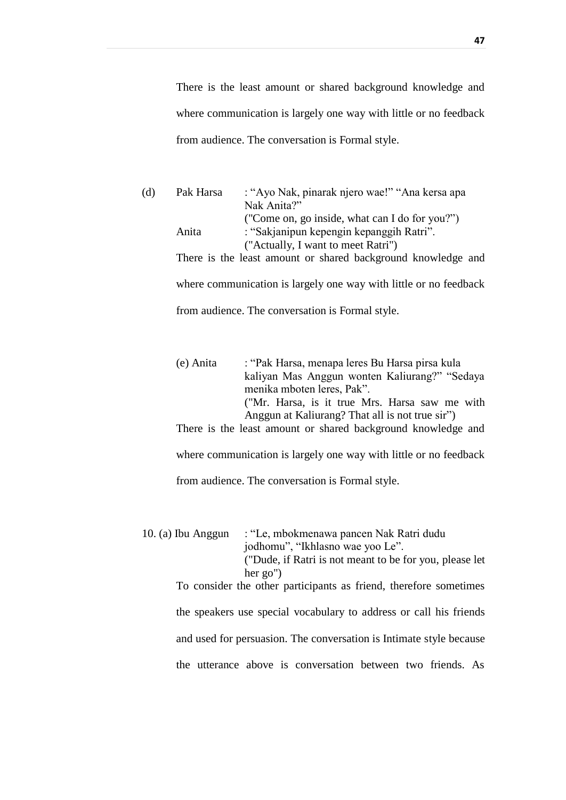There is the least amount or shared background knowledge and where communication is largely one way with little or no feedback from audience. The conversation is Formal style.

| (d) | Pak Harsa | : "Ayo Nak, pinarak njero wae!" "Ana kersa apa               |
|-----|-----------|--------------------------------------------------------------|
|     |           | Nak Anita?"                                                  |
|     |           | ("Come on, go inside, what can I do for you?")               |
|     | Anita     | : "Sakjanipun kepengin kepanggih Ratri".                     |
|     |           | ("Actually, I want to meet Ratri")                           |
|     |           | There is the least amount or shared background knowledge and |
|     |           |                                                              |

where communication is largely one way with little or no feedback from audience. The conversation is Formal style.

| (e) Anita | : "Pak Harsa, menapa leres Bu Harsa pirsa kula  |
|-----------|-------------------------------------------------|
|           | kaliyan Mas Anggun wonten Kaliurang?" "Sedaya   |
|           | menika mboten leres, Pak".                      |
|           | ("Mr. Harsa, is it true Mrs. Harsa saw me with  |
|           | Anggun at Kaliurang? That all is not true sir") |

There is the least amount or shared background knowledge and where communication is largely one way with little or no feedback

from audience. The conversation is Formal style.

10. (a) Ibu Anggun : "Le, mbokmenawa pancen Nak Ratri dudu jodhomu", "Ikhlasno wae yoo Le". ("Dude, if Ratri is not meant to be for you, please let her go")

> To consider the other participants as friend, therefore sometimes the speakers use special vocabulary to address or call his friends and used for persuasion. The conversation is Intimate style because the utterance above is conversation between two friends. As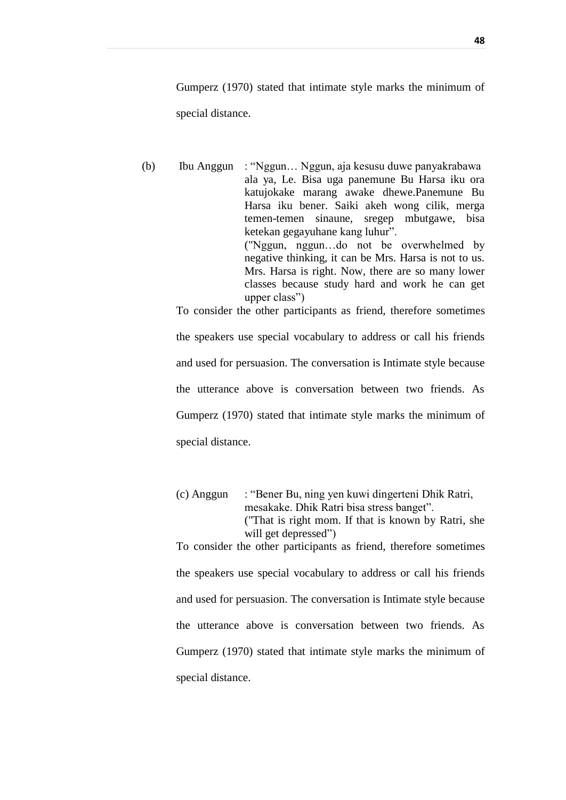Gumperz (1970) stated that intimate style marks the minimum of special distance.

(b) Ibu Anggun : "Nggun… Nggun, aja kesusu duwe panyakrabawa ala ya, Le. Bisa uga panemune Bu Harsa iku ora katujokake marang awake dhewe.Panemune Bu Harsa iku bener. Saiki akeh wong cilik, merga temen-temen sinaune, sregep mbutgawe, bisa ketekan gegayuhane kang luhur". ("Nggun, nggun…do not be overwhelmed by negative thinking, it can be Mrs. Harsa is not to us. Mrs. Harsa is right. Now, there are so many lower classes because study hard and work he can get upper class")

> the speakers use special vocabulary to address or call his friends and used for persuasion. The conversation is Intimate style because the utterance above is conversation between two friends. As Gumperz (1970) stated that intimate style marks the minimum of special distance.

> To consider the other participants as friend, therefore sometimes

(c) Anggun : "Bener Bu, ning yen kuwi dingerteni Dhik Ratri, mesakake. Dhik Ratri bisa stress banget". ("That is right mom. If that is known by Ratri, she will get depressed") To consider the other participants as friend, therefore sometimes

the speakers use special vocabulary to address or call his friends and used for persuasion. The conversation is Intimate style because the utterance above is conversation between two friends. As Gumperz (1970) stated that intimate style marks the minimum of special distance.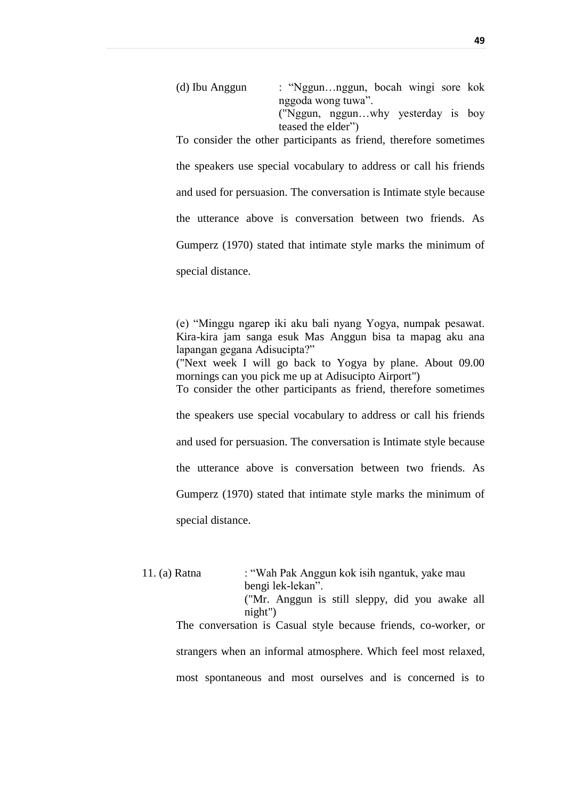| (d) Ibu Anggun | : "Nggunnggun, bocah wingi sore kok                                 |  |
|----------------|---------------------------------------------------------------------|--|
|                | nggoda wong tuwa".<br>("Nggun, nggunwhy yesterday is boy            |  |
|                | teased the elder")                                                  |  |
|                | To consider the other resultations on friend, therefore consettings |  |

To consider the other participants as friend, therefore sometimes the speakers use special vocabulary to address or call his friends and used for persuasion. The conversation is Intimate style because the utterance above is conversation between two friends. As Gumperz (1970) stated that intimate style marks the minimum of special distance.

(e) "Minggu ngarep iki aku bali nyang Yogya, numpak pesawat. Kira-kira jam sanga esuk Mas Anggun bisa ta mapag aku ana lapangan gegana Adisucipta?" ("Next week I will go back to Yogya by plane. About 09.00 mornings can you pick me up at Adisucipto Airport") To consider the other participants as friend, therefore sometimes the speakers use special vocabulary to address or call his friends and used for persuasion. The conversation is Intimate style because the utterance above is conversation between two friends. As Gumperz (1970) stated that intimate style marks the minimum of special distance.

| 11. (a) Ratna | : "Wah Pak Anggun kok isih ngantuk, yake mau                    |  |  |  |  |
|---------------|-----------------------------------------------------------------|--|--|--|--|
|               | bengi lek-lekan".                                               |  |  |  |  |
|               | ("Mr. Anggun is still sleppy, did you awake all                 |  |  |  |  |
|               | night'                                                          |  |  |  |  |
|               | The conversation is Casual style because friends, co-worker, or |  |  |  |  |
|               | strangers when an informal atmosphere. Which feel most relaxed, |  |  |  |  |
|               | most spontaneous and most ourselves and is concerned is to      |  |  |  |  |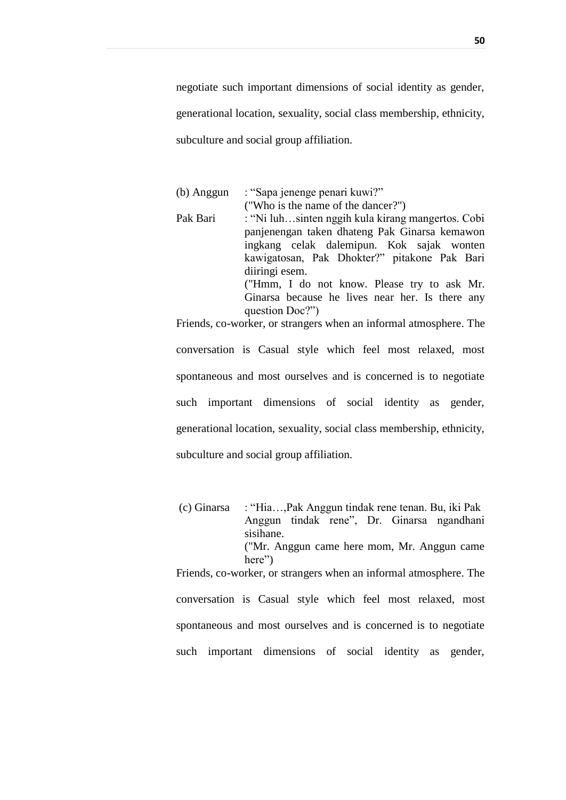negotiate such important dimensions of social identity as gender, generational location, sexuality, social class membership, ethnicity, subculture and social group affiliation.

| (b) Anggun | : "Sapa jenenge penari kuwi?"                                     |  |  |  |  |  |
|------------|-------------------------------------------------------------------|--|--|--|--|--|
|            | ("Who is the name of the dancer?")                                |  |  |  |  |  |
| Pak Bari   | : "Ni luhsinten nggih kula kirang mangertos. Cobi                 |  |  |  |  |  |
|            | panjenengan taken dhateng Pak Ginarsa kemawon                     |  |  |  |  |  |
|            | ingkang celak dalemipun. Kok sajak wonten                         |  |  |  |  |  |
|            | kawigatosan, Pak Dhokter?" pitakone Pak Bari                      |  |  |  |  |  |
|            | diiringi esem.                                                    |  |  |  |  |  |
|            | ("Hmm, I do not know. Please try to ask Mr.                       |  |  |  |  |  |
|            | Ginarsa because he lives near her. Is there any                   |  |  |  |  |  |
|            | question Doc?")                                                   |  |  |  |  |  |
|            | Friends, co-worker, or strangers when an informal atmosphere. The |  |  |  |  |  |

conversation is Casual style which feel most relaxed, most spontaneous and most ourselves and is concerned is to negotiate such important dimensions of social identity as gender, generational location, sexuality, social class membership, ethnicity, subculture and social group affiliation.

(c) Ginarsa : "Hia…,Pak Anggun tindak rene tenan. Bu, iki Pak Anggun tindak rene", Dr. Ginarsa ngandhani sisihane. ("Mr. Anggun came here mom, Mr. Anggun came here") Friends, co-worker, or strangers when an informal atmosphere. The conversation is Casual style which feel most relaxed, most spontaneous and most ourselves and is concerned is to negotiate such important dimensions of social identity as gender,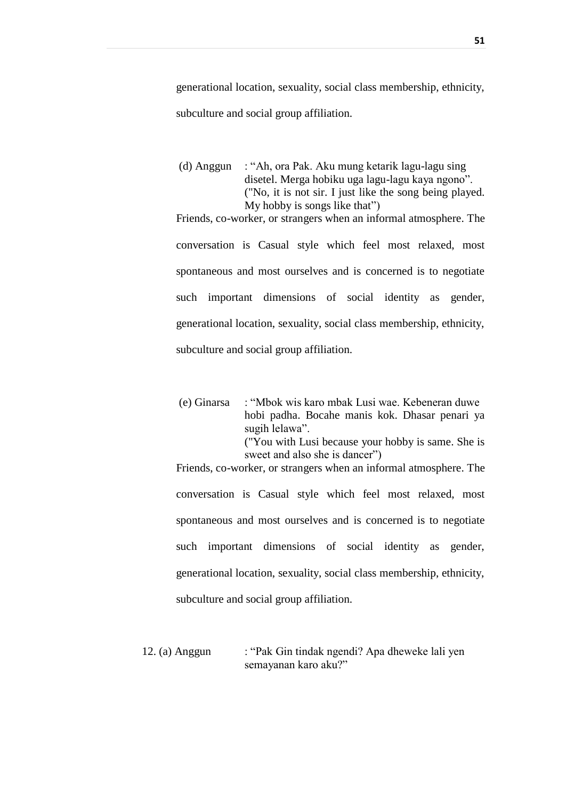generational location, sexuality, social class membership, ethnicity, subculture and social group affiliation.

(d) Anggun : "Ah, ora Pak. Aku mung ketarik lagu-lagu sing disetel. Merga hobiku uga lagu-lagu kaya ngono". ("No, it is not sir. I just like the song being played. My hobby is songs like that")

Friends, co-worker, or strangers when an informal atmosphere. The conversation is Casual style which feel most relaxed, most spontaneous and most ourselves and is concerned is to negotiate such important dimensions of social identity as gender, generational location, sexuality, social class membership, ethnicity, subculture and social group affiliation.

(e) Ginarsa : "Mbok wis karo mbak Lusi wae. Kebeneran duwe hobi padha. Bocahe manis kok. Dhasar penari ya sugih lelawa". ("You with Lusi because your hobby is same. She is sweet and also she is dancer")

Friends, co-worker, or strangers when an informal atmosphere. The conversation is Casual style which feel most relaxed, most spontaneous and most ourselves and is concerned is to negotiate such important dimensions of social identity as gender, generational location, sexuality, social class membership, ethnicity, subculture and social group affiliation.

12. (a) Anggun : "Pak Gin tindak ngendi? Apa dheweke lali yen semayanan karo aku?"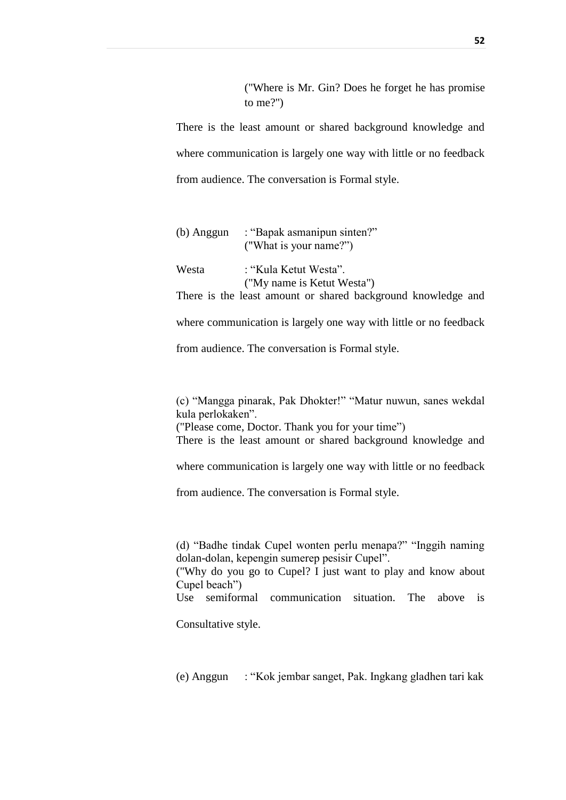("Where is Mr. Gin? Does he forget he has promise to me?")

There is the least amount or shared background knowledge and where communication is largely one way with little or no feedback from audience. The conversation is Formal style.

| (b) Anggun | : "Bapak asmanipun sinten?"<br>("What is your name?")        |
|------------|--------------------------------------------------------------|
| Westa      | : "Kula Ketut Westa".                                        |
|            | ("My name is Ketut Westa")                                   |
|            | There is the least amount or shared background knowledge and |

where communication is largely one way with little or no feedback

from audience. The conversation is Formal style.

(c) "Mangga pinarak, Pak Dhokter!" "Matur nuwun, sanes wekdal kula perlokaken". ("Please come, Doctor. Thank you for your time")

There is the least amount or shared background knowledge and

where communication is largely one way with little or no feedback

from audience. The conversation is Formal style.

(d) "Badhe tindak Cupel wonten perlu menapa?" "Inggih naming dolan-dolan, kepengin sumerep pesisir Cupel".

("Why do you go to Cupel? I just want to play and know about Cupel beach")

Use semiformal communication situation. The above is

Consultative style.

(e) Anggun : "Kok jembar sanget, Pak. Ingkang gladhen tari kak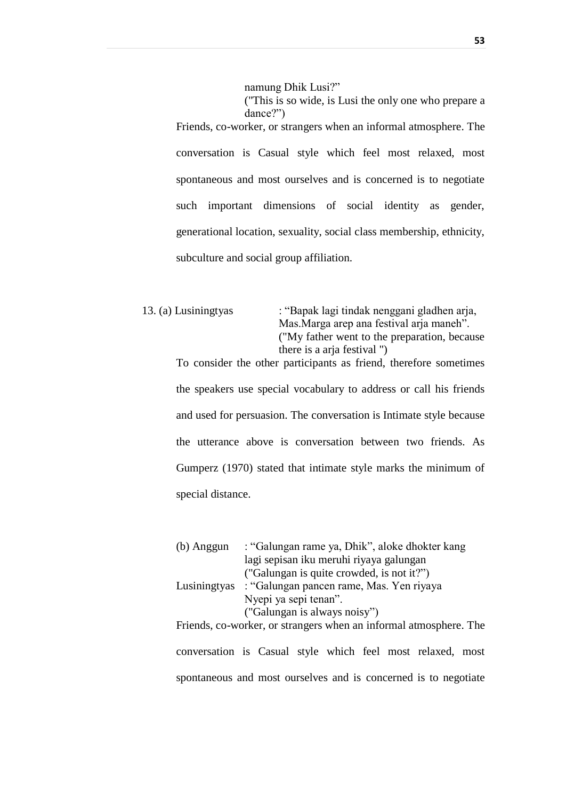namung Dhik Lusi?"

("This is so wide, is Lusi the only one who prepare a dance?") Friends, co-worker, or strangers when an informal atmosphere. The conversation is Casual style which feel most relaxed, most spontaneous and most ourselves and is concerned is to negotiate such important dimensions of social identity as gender, generational location, sexuality, social class membership, ethnicity, subculture and social group affiliation.

13. (a) Lusiningtyas : "Bapak lagi tindak nenggani gladhen arja, Mas.Marga arep ana festival arja maneh". ("My father went to the preparation, because there is a arja festival ") To consider the other participants as friend, therefore sometimes the speakers use special vocabulary to address or call his friends and used for persuasion. The conversation is Intimate style because

the utterance above is conversation between two friends. As Gumperz (1970) stated that intimate style marks the minimum of special distance.

(b) Anggun : "Galungan rame ya, Dhik", aloke dhokter kang lagi sepisan iku meruhi riyaya galungan ("Galungan is quite crowded, is not it?") Lusiningtyas : "Galungan pancen rame, Mas. Yen riyaya Nyepi ya sepi tenan". ("Galungan is always noisy") Friends, co-worker, or strangers when an informal atmosphere. The conversation is Casual style which feel most relaxed, most

spontaneous and most ourselves and is concerned is to negotiate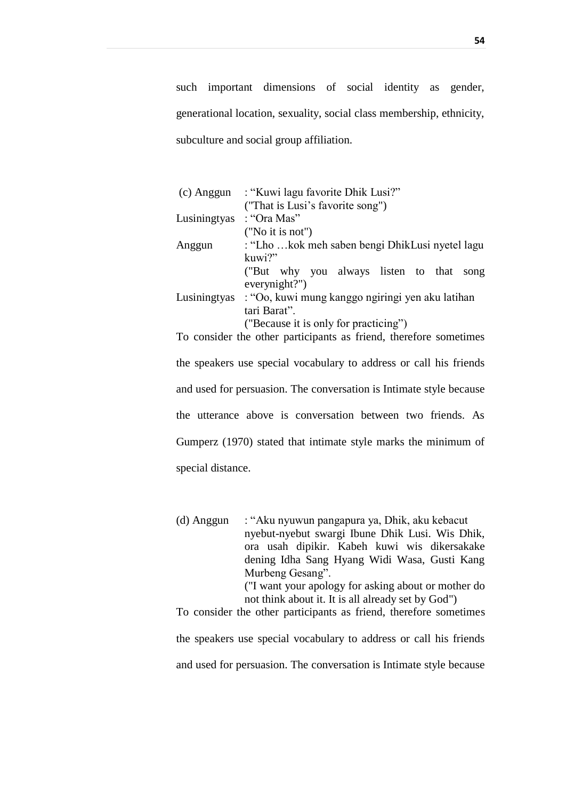such important dimensions of social identity as gender, generational location, sexuality, social class membership, ethnicity, subculture and social group affiliation.

| $(c)$ Anggun | : "Kuwi lagu favorite Dhik Lusi?"                                 |  |  |  |  |  |
|--------------|-------------------------------------------------------------------|--|--|--|--|--|
|              | ("That is Lusi's favorite song")                                  |  |  |  |  |  |
| Lusiningtyas | : "Ora Mas"                                                       |  |  |  |  |  |
|              | ("No it is not")                                                  |  |  |  |  |  |
| Anggun       | : "Lho kok meh saben bengi DhikLusi nyetel lagu                   |  |  |  |  |  |
|              | kuwi?"                                                            |  |  |  |  |  |
|              | ("But why you always listen to that<br>song                       |  |  |  |  |  |
|              | everynight?")                                                     |  |  |  |  |  |
|              | Lusiningtyas : "Oo, kuwi mung kanggo ngiringi yen aku latihan     |  |  |  |  |  |
| tari Barat". |                                                                   |  |  |  |  |  |
|              | ("Because it is only for practicing")                             |  |  |  |  |  |
|              | To consider the other participants as friend, therefore sometimes |  |  |  |  |  |
|              |                                                                   |  |  |  |  |  |

the speakers use special vocabulary to address or call his friends and used for persuasion. The conversation is Intimate style because the utterance above is conversation between two friends. As Gumperz (1970) stated that intimate style marks the minimum of special distance.

(d) Anggun : "Aku nyuwun pangapura ya, Dhik, aku kebacut nyebut-nyebut swargi Ibune Dhik Lusi. Wis Dhik, ora usah dipikir. Kabeh kuwi wis dikersakake dening Idha Sang Hyang Widi Wasa, Gusti Kang Murbeng Gesang". ("I want your apology for asking about or mother do not think about it. It is all already set by God") To consider the other participants as friend, therefore sometimes

the speakers use special vocabulary to address or call his friends and used for persuasion. The conversation is Intimate style because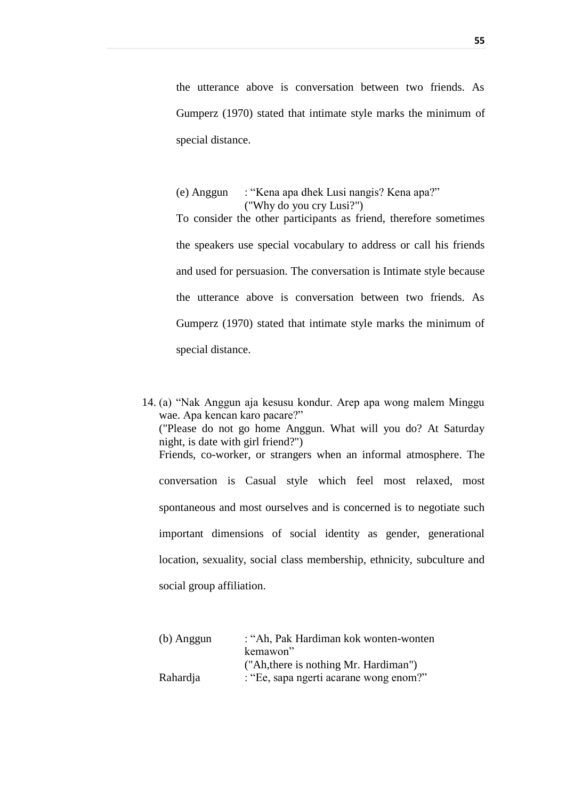the utterance above is conversation between two friends. As Gumperz (1970) stated that intimate style marks the minimum of special distance.

(e) Anggun : "Kena apa dhek Lusi nangis? Kena apa?" ("Why do you cry Lusi?") To consider the other participants as friend, therefore sometimes the speakers use special vocabulary to address or call his friends and used for persuasion. The conversation is Intimate style because the utterance above is conversation between two friends. As Gumperz (1970) stated that intimate style marks the minimum of special distance.

14. (a) "Nak Anggun aja kesusu kondur. Arep apa wong malem Minggu wae. Apa kencan karo pacare?" ("Please do not go home Anggun. What will you do? At Saturday night, is date with girl friend?") Friends, co-worker, or strangers when an informal atmosphere. The conversation is Casual style which feel most relaxed, most spontaneous and most ourselves and is concerned is to negotiate such important dimensions of social identity as gender, generational location, sexuality, social class membership, ethnicity, subculture and social group affiliation.

| (b) Anggun | : "Ah, Pak Hardiman kok wonten-wonten  |  |  |  |
|------------|----------------------------------------|--|--|--|
|            | kemawon"                               |  |  |  |
|            | ("Ah, there is nothing Mr. Hardiman")  |  |  |  |
| Rahardja   | : "Ee, sapa ngerti acarane wong enom?" |  |  |  |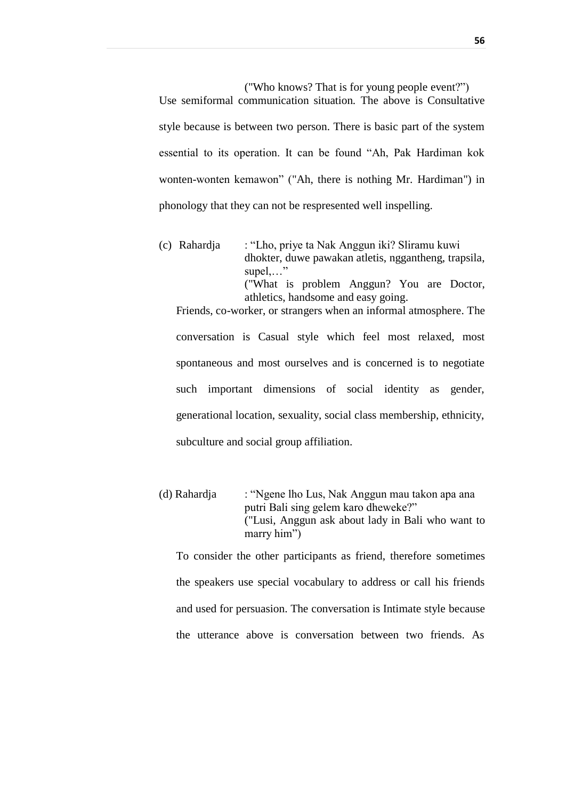("Who knows? That is for young people event?")

Use semiformal communication situation. The above is Consultative style because is between two person. There is basic part of the system essential to its operation. It can be found "Ah, Pak Hardiman kok wonten-wonten kemawon" ("Ah, there is nothing Mr. Hardiman") in phonology that they can not be respresented well inspelling.

(c) Rahardja : "Lho, priye ta Nak Anggun iki? Sliramu kuwi dhokter, duwe pawakan atletis, nggantheng, trapsila, supel,…" ("What is problem Anggun? You are Doctor,

athletics, handsome and easy going. Friends, co-worker, or strangers when an informal atmosphere. The conversation is Casual style which feel most relaxed, most spontaneous and most ourselves and is concerned is to negotiate such important dimensions of social identity as gender, generational location, sexuality, social class membership, ethnicity, subculture and social group affiliation.

(d) Rahardja : "Ngene lho Lus, Nak Anggun mau takon apa ana putri Bali sing gelem karo dheweke?" ("Lusi, Anggun ask about lady in Bali who want to marry him")

To consider the other participants as friend, therefore sometimes the speakers use special vocabulary to address or call his friends and used for persuasion. The conversation is Intimate style because the utterance above is conversation between two friends. As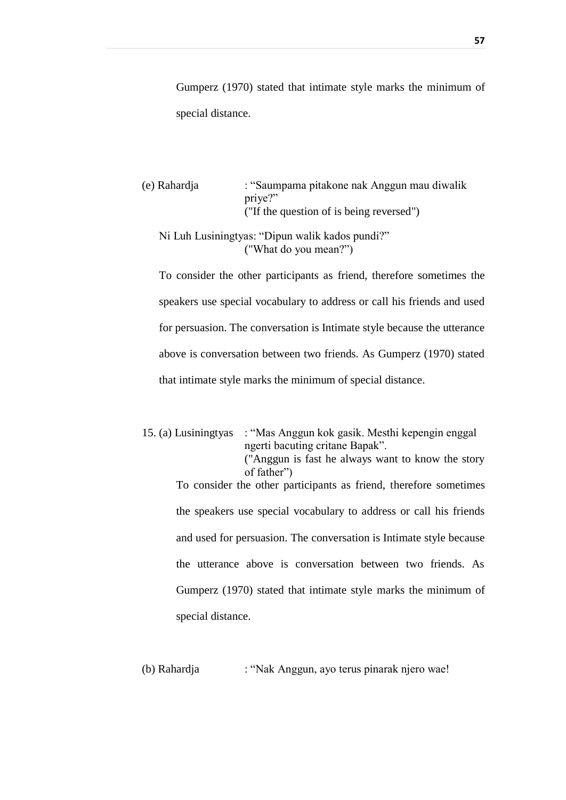Gumperz (1970) stated that intimate style marks the minimum of special distance.

(e) Rahardja : "Saumpama pitakone nak Anggun mau diwalik priye?" ("If the question of is being reversed")

## Ni Luh Lusiningtyas: "Dipun walik kados pundi?" ("What do you mean?")

To consider the other participants as friend, therefore sometimes the speakers use special vocabulary to address or call his friends and used for persuasion. The conversation is Intimate style because the utterance above is conversation between two friends. As Gumperz (1970) stated that intimate style marks the minimum of special distance.

- 15. (a) Lusiningtyas : "Mas Anggun kok gasik. Mesthi kepengin enggal ngerti bacuting critane Bapak". ("Anggun is fast he always want to know the story of father") To consider the other participants as friend, therefore sometimes the speakers use special vocabulary to address or call his friends and used for persuasion. The conversation is Intimate style because the utterance above is conversation between two friends. As Gumperz (1970) stated that intimate style marks the minimum of special distance.
- (b) Rahardja : "Nak Anggun, ayo terus pinarak njero wae!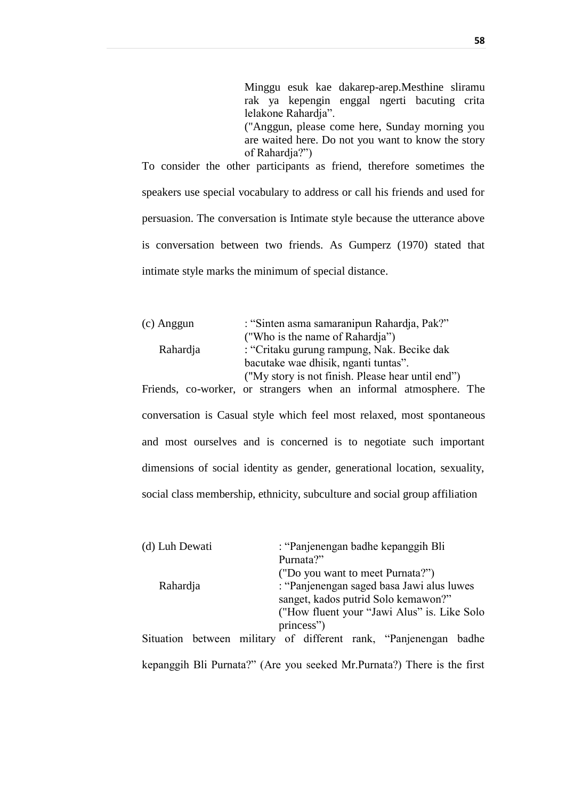Minggu esuk kae dakarep-arep.Mesthine sliramu rak ya kepengin enggal ngerti bacuting crita lelakone Rahardja". ("Anggun, please come here, Sunday morning you are waited here. Do not you want to know the story

of Rahardja?") To consider the other participants as friend, therefore sometimes the speakers use special vocabulary to address or call his friends and used for persuasion. The conversation is Intimate style because the utterance above is conversation between two friends. As Gumperz (1970) stated that intimate style marks the minimum of special distance.

| (c) Anggun | : "Sinten asma samaranipun Rahardja, Pak?"        |  |  |
|------------|---------------------------------------------------|--|--|
|            | ("Who is the name of Rahardja")                   |  |  |
| Rahardja   | : "Critaku gurung rampung, Nak. Becike dak        |  |  |
|            | bacutake wae dhisik, nganti tuntas".              |  |  |
|            | ("My story is not finish. Please hear until end") |  |  |

Friends, co-worker, or strangers when an informal atmosphere. The conversation is Casual style which feel most relaxed, most spontaneous and most ourselves and is concerned is to negotiate such important dimensions of social identity as gender, generational location, sexuality, social class membership, ethnicity, subculture and social group affiliation

| (d) Luh Dewati |  | : "Panjenengan badhe kepanggih Bli          |  |            |  |                                                                  |  |
|----------------|--|---------------------------------------------|--|------------|--|------------------------------------------------------------------|--|
| Rahardja       |  |                                             |  | Purnata?"  |  |                                                                  |  |
|                |  | ("Do you want to meet Purnata?")            |  |            |  |                                                                  |  |
|                |  | : "Panjenengan saged basa Jawi alus luwes"  |  |            |  |                                                                  |  |
|                |  | sanget, kados putrid Solo kemawon?"         |  |            |  |                                                                  |  |
|                |  | ("How fluent your "Jawi Alus" is. Like Solo |  |            |  |                                                                  |  |
|                |  |                                             |  | princess") |  |                                                                  |  |
|                |  |                                             |  |            |  | Situation between military of different rank, "Panjenengan badhe |  |
|                |  |                                             |  |            |  |                                                                  |  |

kepanggih Bli Purnata?" (Are you seeked Mr.Purnata?) There is the first